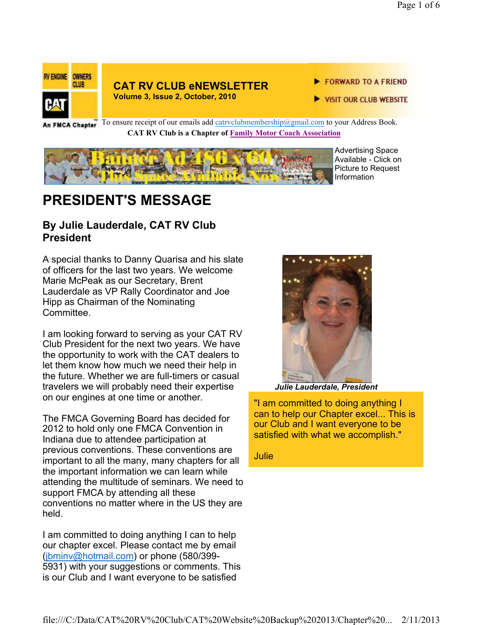

#### **CAT RV CLUB eNEWSLETTER Volume 3, Issue 2, October, 2010**

FORWARD TO A FRIEND

VISIT OUR CLUB WEBSITE

An FMCA Chapter<sup>To ensure receipt of our emails add catrvclubmembership@gmail.com to your Address Book.</sup> **CAT RV Club is a Chapter of Family Motor Coach Association** 



Advertising Space Available - Click on Picture to Request Information

# **PRESIDENT'S MESSAGE**

### **By Julie Lauderdale, CAT RV Club President**

A special thanks to Danny Quarisa and his slate of officers for the last two years. We welcome Marie McPeak as our Secretary, Brent Lauderdale as VP Rally Coordinator and Joe Hipp as Chairman of the Nominating Committee.

I am looking forward to serving as your CAT RV Club President for the next two years. We have the opportunity to work with the CAT dealers to let them know how much we need their help in the future. Whether we are full-timers or casual travelers we will probably need their expertise on our engines at one time or another.

The FMCA Governing Board has decided for 2012 to hold only one FMCA Convention in Indiana due to attendee participation at previous conventions. These conventions are important to all the many, many chapters for all the important information we can learn while attending the multitude of seminars. We need to support FMCA by attending all these conventions no matter where in the US they are held.

I am committed to doing anything I can to help our chapter excel. Please contact me by email (jbminv@hotmail.com) or phone (580/399- 5931) with your suggestions or comments. This is our Club and I want everyone to be satisfied



*Julie Lauderdale, President*

"I am committed to doing anything I can to help our Chapter excel... This is our Club and I want everyone to be satisfied with what we accomplish."

**Julie**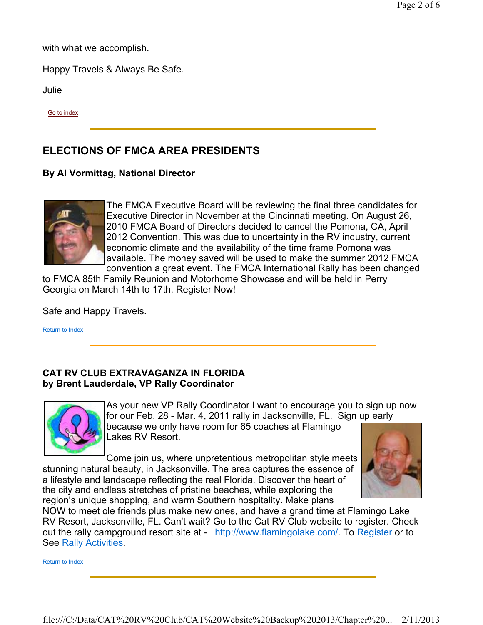with what we accomplish.

Happy Travels & Always Be Safe.

Julie

Go to index

## **ELECTIONS OF FMCA AREA PRESIDENTS**

#### **By Al Vormittag, National Director**



The FMCA Executive Board will be reviewing the final three candidates for Executive Director in November at the Cincinnati meeting. On August 26, 2010 FMCA Board of Directors decided to cancel the Pomona, CA, April 2012 Convention. This was due to uncertainty in the RV industry, current economic climate and the availability of the time frame Pomona was available. The money saved will be used to make the summer 2012 FMCA convention a great event. The FMCA International Rally has been changed

to FMCA 85th Family Reunion and Motorhome Showcase and will be held in Perry Georgia on March 14th to 17th. Register Now!

Safe and Happy Travels.

Return to Index

#### **CAT RV CLUB EXTRAVAGANZA IN FLORIDA by Brent Lauderdale, VP Rally Coordinator**



As your new VP Rally Coordinator I want to encourage you to sign up now for our Feb. 28 - Mar. 4, 2011 rally in Jacksonville, FL. Sign up early because we only have room for 65 coaches at Flamingo Lakes RV Resort.

Come join us, where unpretentious metropolitan style meets stunning natural beauty, in Jacksonville. The area captures the essence of a lifestyle and landscape reflecting the real Florida. Discover the heart of the city and endless stretches of pristine beaches, while exploring the region's unique shopping, and warm Southern hospitality. Make plans



NOW to meet ole friends plus make new ones, and have a grand time at Flamingo Lake RV Resort, Jacksonville, FL. Can't wait? Go to the Cat RV Club website to register. Check out the rally campground resort site at - http://www.flamingolake.com/. To Register or to See Rally Activities.

Return to Index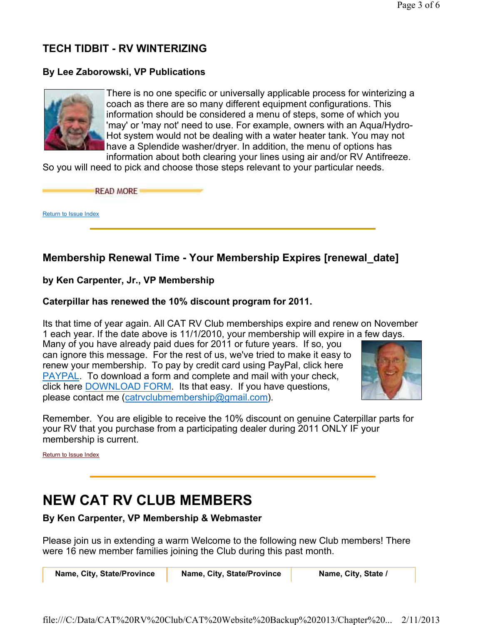## **TECH TIDBIT - RV WINTERIZING**

#### **By Lee Zaborowski, VP Publications**



There is no one specific or universally applicable process for winterizing a coach as there are so many different equipment configurations. This information should be considered a menu of steps, some of which you 'may' or 'may not' need to use. For example, owners with an Aqua/Hydro-Hot system would not be dealing with a water heater tank. You may not have a Splendide washer/dryer. In addition, the menu of options has

information about both clearing your lines using air and/or RV Antifreeze. So you will need to pick and choose those steps relevant to your particular needs.

**READ MORE** 

Return to Issue Index

### **Membership Renewal Time - Your Membership Expires [renewal\_date]**

#### **by Ken Carpenter, Jr., VP Membership**

#### **Caterpillar has renewed the 10% discount program for 2011.**

Its that time of year again. All CAT RV Club memberships expire and renew on November 1 each year. If the date above is 11/1/2010, your membership will expire in a few days.

Many of you have already paid dues for 2011 or future years. If so, you can ignore this message. For the rest of us, we've tried to make it easy to renew your membership. To pay by credit card using PayPal, click here PAYPAL. To download a form and complete and mail with your check, click here DOWNLOAD FORM. Its that easy. If you have questions, please contact me (catrvclubmembership@gmail.com).



Remember. You are eligible to receive the 10% discount on genuine Caterpillar parts for your RV that you purchase from a participating dealer during 2011 ONLY IF your membership is current.

Return to Issue Index

# **NEW CAT RV CLUB MEMBERS**

**By Ken Carpenter, VP Membership & Webmaster**

Please join us in extending a warm Welcome to the following new Club members! There were 16 new member families joining the Club during this past month.

Name, City, State/Province Name, City, State/Province Name, City, State /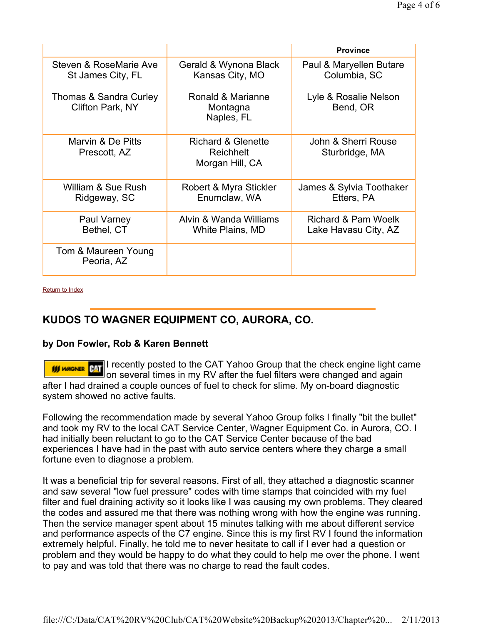|                                             |                                                    | <b>Province</b>                             |
|---------------------------------------------|----------------------------------------------------|---------------------------------------------|
| Steven & RoseMarie Ave<br>St James City, FL | Gerald & Wynona Black<br>Kansas City, MO           | Paul & Maryellen Butare<br>Columbia, SC     |
| Thomas & Sandra Curley<br>Clifton Park, NY  | Ronald & Marianne<br>Montagna<br>Naples, FL        | Lyle & Rosalie Nelson<br>Bend, OR           |
| Marvin & De Pitts<br>Prescott, AZ           | Richard & Glenette<br>Reichhelt<br>Morgan Hill, CA | John & Sherri Rouse<br>Sturbridge, MA       |
| William & Sue Rush<br>Ridgeway, SC          | Robert & Myra Stickler<br>Enumclaw, WA             | James & Sylvia Toothaker<br>Etters, PA      |
| Paul Varney<br>Bethel, CT                   | Alvin & Wanda Williams<br>White Plains, MD         | Richard & Pam Woelk<br>Lake Havasu City, AZ |
| Tom & Maureen Young<br>Peoria, AZ           |                                                    |                                             |

Return to Index

### **KUDOS TO WAGNER EQUIPMENT CO, AURORA, CO.**

#### **by Don Fowler, Rob & Karen Bennett**

If **If MOGINER** PAT I recently posted to the CAT Yahoo Group that the check engine light came on several times in my RV after the fuel filters were changed and again after I had drained a couple ounces of fuel to check for slime. My on-board diagnostic system showed no active faults.

Following the recommendation made by several Yahoo Group folks I finally "bit the bullet" and took my RV to the local CAT Service Center, Wagner Equipment Co. in Aurora, CO. I had initially been reluctant to go to the CAT Service Center because of the bad experiences I have had in the past with auto service centers where they charge a small fortune even to diagnose a problem.

It was a beneficial trip for several reasons. First of all, they attached a diagnostic scanner and saw several "low fuel pressure" codes with time stamps that coincided with my fuel filter and fuel draining activity so it looks like I was causing my own problems. They cleared the codes and assured me that there was nothing wrong with how the engine was running. Then the service manager spent about 15 minutes talking with me about different service and performance aspects of the C7 engine. Since this is my first RV I found the information extremely helpful. Finally, he told me to never hesitate to call if I ever had a question or problem and they would be happy to do what they could to help me over the phone. I went to pay and was told that there was no charge to read the fault codes.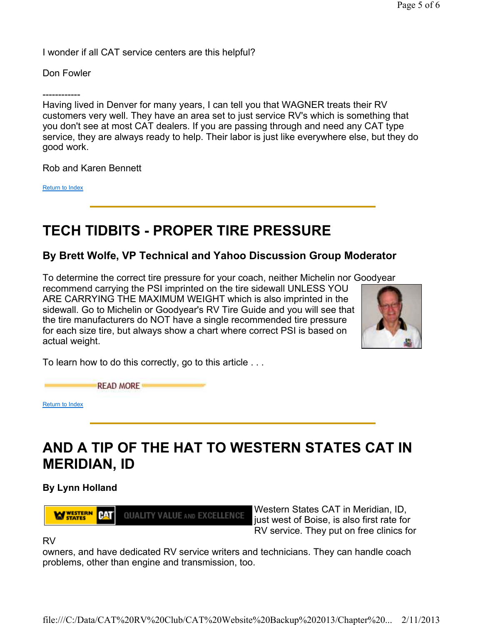I wonder if all CAT service centers are this helpful?

Don Fowler

------------

Having lived in Denver for many years, I can tell you that WAGNER treats their RV customers very well. They have an area set to just service RV's which is something that you don't see at most CAT dealers. If you are passing through and need any CAT type service, they are always ready to help. Their labor is just like everywhere else, but they do good work.

Rob and Karen Bennett

Return to Index

# **TECH TIDBITS - PROPER TIRE PRESSURE**

### **By Brett Wolfe, VP Technical and Yahoo Discussion Group Moderator**

To determine the correct tire pressure for your coach, neither Michelin nor Goodyear recommend carrying the PSI imprinted on the tire sidewall UNLESS YOU ARE CARRYING THE MAXIMUM WEIGHT which is also imprinted in the sidewall. Go to Michelin or Goodyear's RV Tire Guide and you will see that the tire manufacturers do NOT have a single recommended tire pressure for each size tire, but always show a chart where correct PSI is based on actual weight.



To learn how to do this correctly, go to this article . . .

**READ MORE** 

Return to Index

# **AND A TIP OF THE HAT TO WESTERN STATES CAT IN MERIDIAN, ID**

**By Lynn Holland**

**WY STATES** CAT **QUALITY VALUE AND EXCELLENCE** 

Western States CAT in Meridian, ID, just west of Boise, is also first rate for RV service. They put on free clinics for

RV

owners, and have dedicated RV service writers and technicians. They can handle coach problems, other than engine and transmission, too.